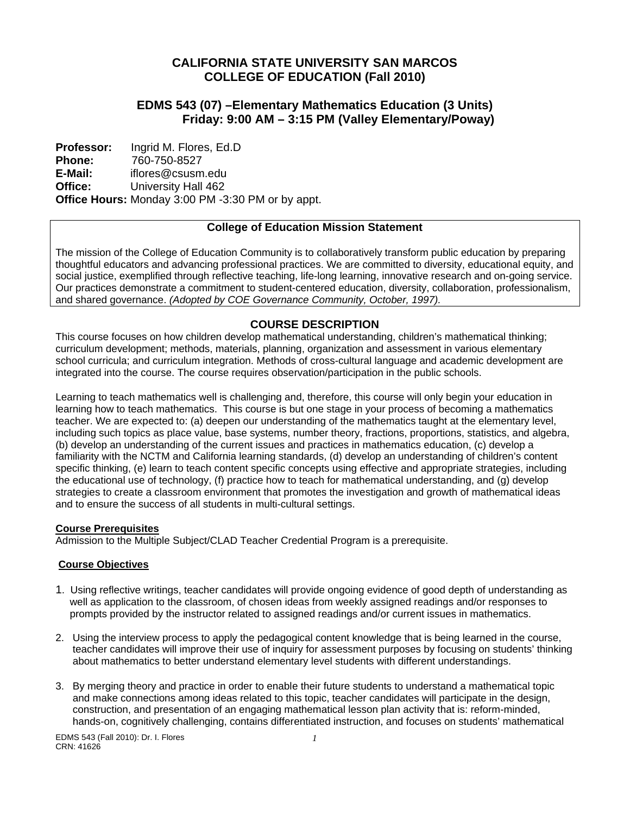# **CALIFORNIA STATE UNIVERSITY SAN MARCOS COLLEGE OF EDUCATION (Fall 2010)**

# **EDMS 543 (07) –Elementary Mathematics Education (3 Units) Friday: 9:00 AM – 3:15 PM (Valley Elementary/Poway)**

 **Office: Professor: Phone: E-Mail:**  Ingrid M. Flores, Ed.D 760-750-8527 iflores@csusm.edu University Hall 462 **Office Hours:** Monday 3:00 PM -3:30 PM or by appt.

# **College of Education Mission Statement**

The mission of the College of Education Community is to collaboratively transform public education by preparing thoughtful educators and advancing professional practices. We are committed to diversity, educational equity, and social justice, exemplified through reflective teaching, life-long learning, innovative research and on-going service. Our practices demonstrate a commitment to student-centered education, diversity, collaboration, professionalism, and shared governance. *(Adopted by COE Governance Community, October, 1997).* 

# **COURSE DESCRIPTION**

This course focuses on how children develop mathematical understanding, children's mathematical thinking; curriculum development; methods, materials, planning, organization and assessment in various elementary school curricula; and curriculum integration. Methods of cross-cultural language and academic development are integrated into the course. The course requires observation/participation in the public schools.

Learning to teach mathematics well is challenging and, therefore, this course will only begin your education in learning how to teach mathematics. This course is but one stage in your process of becoming a mathematics teacher. We are expected to: (a) deepen our understanding of the mathematics taught at the elementary level, including such topics as place value, base systems, number theory, fractions, proportions, statistics, and algebra, (b) develop an understanding of the current issues and practices in mathematics education, (c) develop a familiarity with the NCTM and California learning standards, (d) develop an understanding of children's content specific thinking, (e) learn to teach content specific concepts using effective and appropriate strategies, including the educational use of technology, (f) practice how to teach for mathematical understanding, and (g) develop strategies to create a classroom environment that promotes the investigation and growth of mathematical ideas and to ensure the success of all students in multi-cultural settings.

## **Course Prerequisites**

Admission to the Multiple Subject/CLAD Teacher Credential Program is a prerequisite.

## **Course Objectives**

- 1. Using reflective writings, teacher candidates will provide ongoing evidence of good depth of understanding as well as application to the classroom, of chosen ideas from weekly assigned readings and/or responses to prompts provided by the instructor related to assigned readings and/or current issues in mathematics.
- 2. Using the interview process to apply the pedagogical content knowledge that is being learned in the course, teacher candidates will improve their use of inquiry for assessment purposes by focusing on students' thinking about mathematics to better understand elementary level students with different understandings.
- 3. By merging theory and practice in order to enable their future students to understand a mathematical topic and make connections among ideas related to this topic, teacher candidates will participate in the design, construction, and presentation of an engaging mathematical lesson plan activity that is: reform-minded, hands-on, cognitively challenging, contains differentiated instruction, and focuses on students' mathematical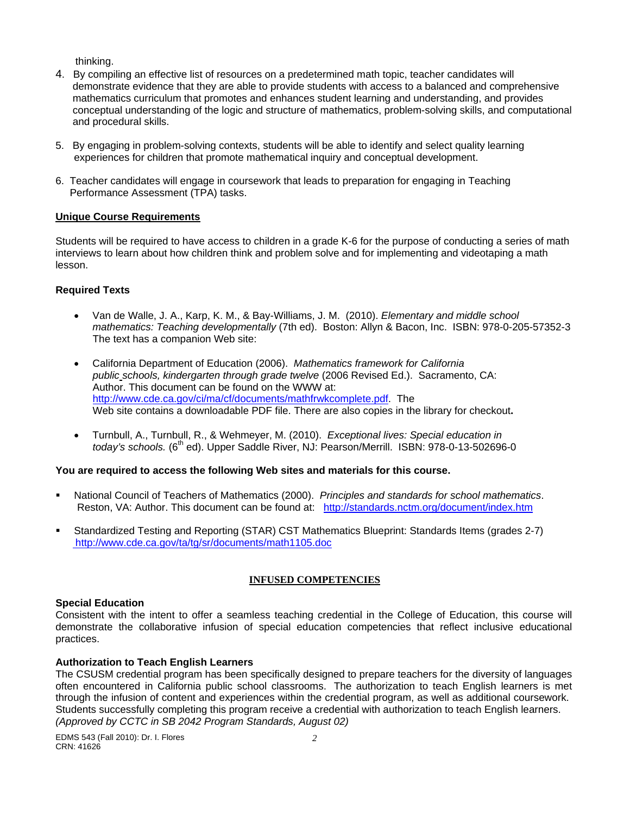thinking.

- 4. By compiling an effective list of resources on a predetermined math topic, teacher candidates will demonstrate evidence that they are able to provide students with access to a balanced and comprehensive mathematics curriculum that promotes and enhances student learning and understanding, and provides conceptual understanding of the logic and structure of mathematics, problem-solving skills, and computational and procedural skills.
- 5. By engaging in problem-solving contexts, students will be able to identify and select quality learning experiences for children that promote mathematical inquiry and conceptual development.
- 6. Teacher candidates will engage in coursework that leads to preparation for engaging in Teaching Performance Assessment (TPA) tasks.

### **Unique Course Requirements**

Students will be required to have access to children in a grade K-6 for the purpose of conducting a series of math interviews to learn about how children think and problem solve and for implementing and videotaping a math lesson.

## **Required Texts**

- Van de Walle, J. A., Karp, K. M., & Bay-Williams, J. M. (2010). *Elementary and middle school mathematics: Teaching developmentally* (7th ed). Boston: Allyn & Bacon, Inc. ISBN: 978-0-205-57352-3 The text has a companion Web site:
- California Department of Education (2006). *Mathematics framework for California public schools, kindergarten through grade twelve* (2006 Revised Ed.). Sacramento, CA: Author. This document can be found on the WWW at: http://www.cde.ca.gov/ci/ma/cf/documents/mathfrwkcomplete.pdf. The Web site contains a downloadable PDF file. There are also copies in the library for checkout**.**
- Turnbull, A., Turnbull, R., & Wehmeyer, M. (2010). *Exceptional lives: Special education in today's schools.* (6<sup>th</sup> ed). Upper Saddle River, NJ: Pearson/Merrill. ISBN: 978-0-13-502696-0

## **You are required to access the following Web sites and materials for this course.**

- National Council of Teachers of Mathematics (2000). *Principles and standards for school mathematics*. Reston, VA: Author. This document can be found at: http://standards.nctm.org/document/index.htm
- Standardized Testing and Reporting (STAR) CST Mathematics Blueprint: Standards Items (grades 2-7) http://www.cde.ca.gov/ta/tg/sr/documents/math1105.doc

## **INFUSED COMPETENCIES**

#### **Special Education**

Consistent with the intent to offer a seamless teaching credential in the College of Education, this course will demonstrate the collaborative infusion of special education competencies that reflect inclusive educational practices.

## **Authorization to Teach English Learners**

 through the infusion of content and experiences within the credential program, as well as additional coursework. The CSUSM credential program has been specifically designed to prepare teachers for the diversity of languages often encountered in California public school classrooms. The authorization to teach English learners is met Students successfully completing this program receive a credential with authorization to teach English learners. *(Approved by CCTC in SB 2042 Program Standards, August 02)*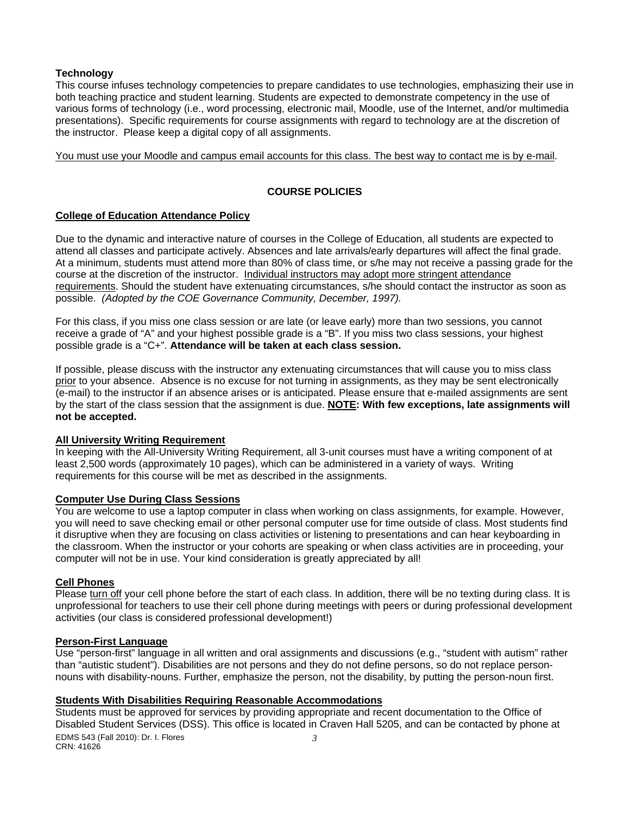#### **Technology**

This course infuses technology competencies to prepare candidates to use technologies, emphasizing their use in both teaching practice and student learning. Students are expected to demonstrate competency in the use of various forms of technology (i.e., word processing, electronic mail, Moodle, use of the Internet, and/or multimedia presentations). Specific requirements for course assignments with regard to technology are at the discretion of the instructor. Please keep a digital copy of all assignments.

You must use your Moodle and campus email accounts for this class. The best way to contact me is by e-mail.

## **COURSE POLICIES**

## **College of Education Attendance Policy**

 possible. *(Adopted by the COE Governance Community, December, 1997).* Due to the dynamic and interactive nature of courses in the College of Education, all students are expected to attend all classes and participate actively. Absences and late arrivals/early departures will affect the final grade. At a minimum, students must attend more than 80% of class time, or s/he may not receive a passing grade for the course at the discretion of the instructor. Individual instructors may adopt more stringent attendance requirements. Should the student have extenuating circumstances, s/he should contact the instructor as soon as

For this class, if you miss one class session or are late (or leave early) more than two sessions, you cannot receive a grade of "A" and your highest possible grade is a "B". If you miss two class sessions, your highest possible grade is a "C+". **Attendance will be taken at each class session.** 

If possible, please discuss with the instructor any extenuating circumstances that will cause you to miss class prior to your absence. Absence is no excuse for not turning in assignments, as they may be sent electronically (e-mail) to the instructor if an absence arises or is anticipated. Please ensure that e-mailed assignments are sent by the start of the class session that the assignment is due. **NOTE: With few exceptions, late assignments will not be accepted.** 

#### **All University Writing Requirement**

In keeping with the All-University Writing Requirement, all 3-unit courses must have a writing component of at least 2,500 words (approximately 10 pages), which can be administered in a variety of ways. Writing requirements for this course will be met as described in the assignments.

#### **Computer Use During Class Sessions**

You are welcome to use a laptop computer in class when working on class assignments, for example. However, you will need to save checking email or other personal computer use for time outside of class. Most students find it disruptive when they are focusing on class activities or listening to presentations and can hear keyboarding in the classroom. When the instructor or your cohorts are speaking or when class activities are in proceeding, your computer will not be in use. Your kind consideration is greatly appreciated by all!

### **Cell Phones**

Please turn off your cell phone before the start of each class. In addition, there will be no texting during class. It is unprofessional for teachers to use their cell phone during meetings with peers or during professional development activities (our class is considered professional development!)

#### **Person-First Language**

Use "person-first" language in all written and oral assignments and discussions (e.g., "student with autism" rather than "autistic student"). Disabilities are not persons and they do not define persons, so do not replace personnouns with disability-nouns. Further, emphasize the person, not the disability, by putting the person-noun first.

#### **Students With Disabilities Requiring Reasonable Accommodations**

Students must be approved for services by providing appropriate and recent documentation to the Office of Disabled Student Services (DSS). This office is located in Craven Hall 5205, and can be contacted by phone at EDMS 543 (Fall 2010): Dr. I. Flores *3*  CRN: 41626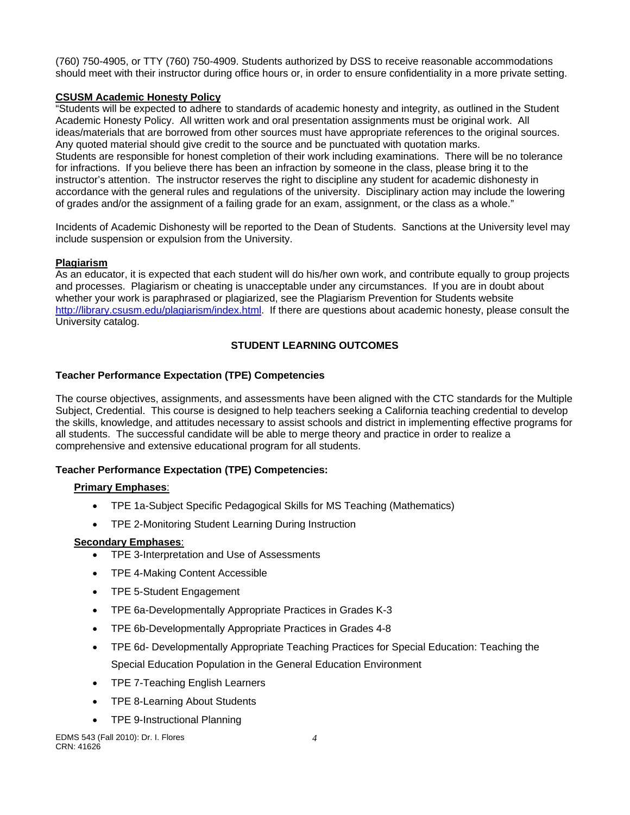(760) 750-4905, or TTY (760) 750-4909. Students authorized by DSS to receive reasonable accommodations should meet with their instructor during office hours or, in order to ensure confidentiality in a more private setting.

## **CSUSM Academic Honesty Policy**

"Students will be expected to adhere to standards of academic honesty and integrity, as outlined in the Student Academic Honesty Policy. All written work and oral presentation assignments must be original work. All ideas/materials that are borrowed from other sources must have appropriate references to the original sources. Any quoted material should give credit to the source and be punctuated with quotation marks. Students are responsible for honest completion of their work including examinations. There will be no tolerance for infractions. If you believe there has been an infraction by someone in the class, please bring it to the instructor's attention. The instructor reserves the right to discipline any student for academic dishonesty in accordance with the general rules and regulations of the university. Disciplinary action may include the lowering of grades and/or the assignment of a failing grade for an exam, assignment, or the class as a whole."

Incidents of Academic Dishonesty will be reported to the Dean of Students. Sanctions at the University level may include suspension or expulsion from the University.

## **Plagiarism**

As an educator, it is expected that each student will do his/her own work, and contribute equally to group projects and processes. Plagiarism or cheating is unacceptable under any circumstances. If you are in doubt about whether your work is paraphrased or plagiarized, see the Plagiarism Prevention for Students website http://library.csusm.edu/plagiarism/index.html. If there are questions about academic honesty, please consult the University catalog.

# **STUDENT LEARNING OUTCOMES**

## **Teacher Performance Expectation (TPE) Competencies**

The course objectives, assignments, and assessments have been aligned with the CTC standards for the Multiple Subject, Credential. This course is designed to help teachers seeking a California teaching credential to develop the skills, knowledge, and attitudes necessary to assist schools and district in implementing effective programs for all students. The successful candidate will be able to merge theory and practice in order to realize a comprehensive and extensive educational program for all students.

# **Teacher Performance Expectation (TPE) Competencies:**

## **Primary Emphases**:

- TPE 1a-Subject Specific Pedagogical Skills for MS Teaching (Mathematics)
- TPE 2-Monitoring Student Learning During Instruction

## **Secondary Emphases**:

- TPE 3-Interpretation and Use of Assessments
- TPE 4-Making Content Accessible
- TPE 5-Student Engagement
- TPE 6a-Developmentally Appropriate Practices in Grades K-3
- TPE 6b-Developmentally Appropriate Practices in Grades 4-8
- TPE 6d- Developmentally Appropriate Teaching Practices for Special Education: Teaching the Special Education Population in the General Education Environment
- TPE 7-Teaching English Learners
- TPE 8-Learning About Students
- TPE 9-Instructional Planning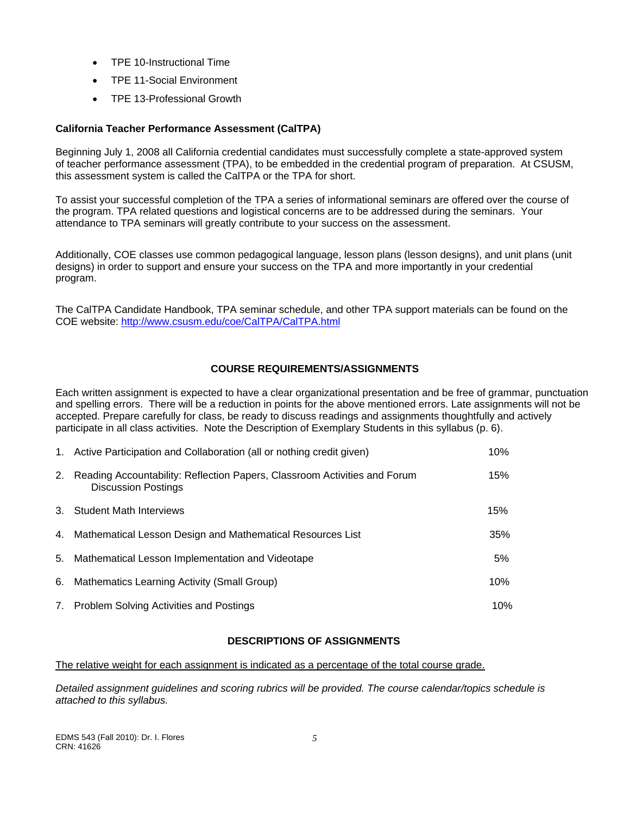- TPE 10-Instructional Time
- TPE 11-Social Environment
- TPE 13-Professional Growth

## **California Teacher Performance Assessment (CalTPA)**

Beginning July 1, 2008 all California credential candidates must successfully complete a state-approved system of teacher performance assessment (TPA), to be embedded in the credential program of preparation. At CSUSM, this assessment system is called the CalTPA or the TPA for short.

To assist your successful completion of the TPA a series of informational seminars are offered over the course of the program. TPA related questions and logistical concerns are to be addressed during the seminars. Your attendance to TPA seminars will greatly contribute to your success on the assessment.

Additionally, COE classes use common pedagogical language, lesson plans (lesson designs), and unit plans (unit designs) in order to support and ensure your success on the TPA and more importantly in your credential program.

The CalTPA Candidate Handbook, TPA seminar schedule, and other TPA support materials can be found on the COE website: http://www.csusm.edu/coe/CalTPA/CalTPA.html

## **COURSE REQUIREMENTS/ASSIGNMENTS**

Each written assignment is expected to have a clear organizational presentation and be free of grammar, punctuation and spelling errors. There will be a reduction in points for the above mentioned errors. Late assignments will not be accepted. Prepare carefully for class, be ready to discuss readings and assignments thoughtfully and actively participate in all class activities. Note the Description of Exemplary Students in this syllabus (p. 6).

|    | 1. Active Participation and Collaboration (all or nothing credit given)                                 | 10% |
|----|---------------------------------------------------------------------------------------------------------|-----|
| 2. | Reading Accountability: Reflection Papers, Classroom Activities and Forum<br><b>Discussion Postings</b> | 15% |
| 3. | <b>Student Math Interviews</b>                                                                          | 15% |
| 4. | Mathematical Lesson Design and Mathematical Resources List                                              | 35% |
| 5. | Mathematical Lesson Implementation and Videotape                                                        | 5%  |
| 6. | Mathematics Learning Activity (Small Group)                                                             | 10% |
| 7. | <b>Problem Solving Activities and Postings</b>                                                          | 10% |

## **DESCRIPTIONS OF ASSIGNMENTS**

The relative weight for each assignment is indicated as a percentage of the total course grade.

*Detailed assignment guidelines and scoring rubrics will be provided. The course calendar/topics schedule is attached to this syllabus.*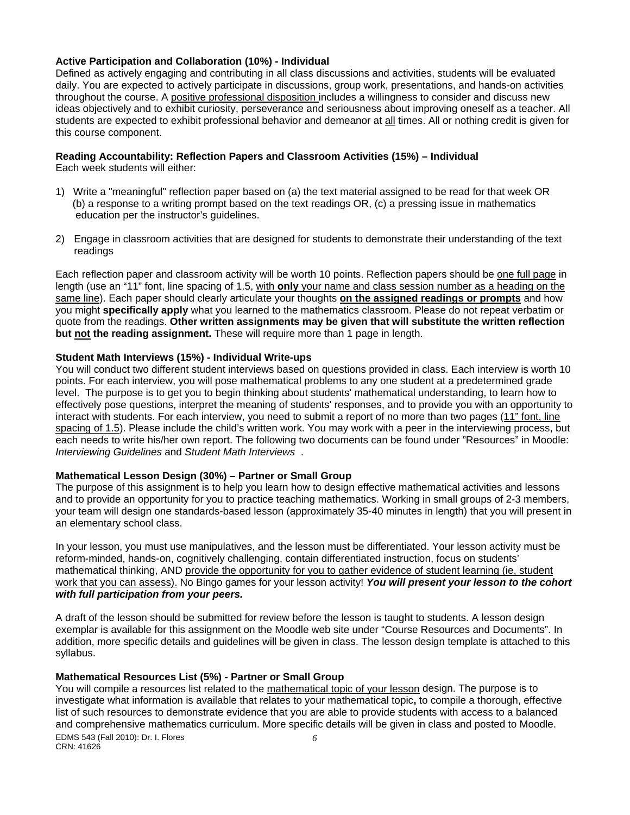#### **Active Participation and Collaboration (10%) - Individual**

Defined as actively engaging and contributing in all class discussions and activities, students will be evaluated daily. You are expected to actively participate in discussions, group work, presentations, and hands-on activities throughout the course. A positive professional disposition includes a willingness to consider and discuss new ideas objectively and to exhibit curiosity, perseverance and seriousness about improving oneself as a teacher. All students are expected to exhibit professional behavior and demeanor at all times. All or nothing credit is given for this course component.

# **Reading Accountability: Reflection Papers and Classroom Activities (15%) – Individual**

Each week students will either:

- 1) Write a "meaningful" reflection paper based on (a) the text material assigned to be read for that week OR (b) a response to a writing prompt based on the text readings OR, (c) a pressing issue in mathematics education per the instructor's guidelines.
- 2) Engage in classroom activities that are designed for students to demonstrate their understanding of the text readings

Each reflection paper and classroom activity will be worth 10 points. Reflection papers should be one full page in length (use an "11" font, line spacing of 1.5, with **only** your name and class session number as a heading on the same line). Each paper should clearly articulate your thoughts **on the assigned readings or prompts** and how you might **specifically apply** what you learned to the mathematics classroom. Please do not repeat verbatim or quote from the readings. **Other written assignments may be given that will substitute the written reflection but not the reading assignment.** These will require more than 1 page in length.

### **Student Math Interviews (15%) - Individual Write-ups**

 *Interviewing Guidelines* and *Student Math Interviews* . You will conduct two different student interviews based on questions provided in class. Each interview is worth 10 points. For each interview, you will pose mathematical problems to any one student at a predetermined grade level. The purpose is to get you to begin thinking about students' mathematical understanding, to learn how to effectively pose questions, interpret the meaning of students' responses, and to provide you with an opportunity to interact with students. For each interview, you need to submit a report of no more than two pages (11" font, line spacing of 1.5). Please include the child's written work. You may work with a peer in the interviewing process, but each needs to write his/her own report. The following two documents can be found under "Resources" in Moodle:

#### **Mathematical Lesson Design (30%) – Partner or Small Group**

The purpose of this assignment is to help you learn how to design effective mathematical activities and lessons and to provide an opportunity for you to practice teaching mathematics. Working in small groups of 2-3 members, your team will design one standards-based lesson (approximately 35-40 minutes in length) that you will present in an elementary school class.

 *with full participation from your peers.* In your lesson, you must use manipulatives, and the lesson must be differentiated. Your lesson activity must be reform-minded, hands-on, cognitively challenging, contain differentiated instruction, focus on students' mathematical thinking, AND provide the opportunity for you to gather evidence of student learning (ie, student work that you can assess). No Bingo games for your lesson activity! *You will present your lesson to the cohort* 

A draft of the lesson should be submitted for review before the lesson is taught to students. A lesson design exemplar is available for this assignment on the Moodle web site under "Course Resources and Documents". In addition, more specific details and guidelines will be given in class. The lesson design template is attached to this syllabus.

## **Mathematical Resources List (5%) - Partner or Small Group**

You will compile a resources list related to the mathematical topic of your lesson design. The purpose is to investigate what information is available that relates to your mathematical topic**,** to compile a thorough, effective list of such resources to demonstrate evidence that you are able to provide students with access to a balanced and comprehensive mathematics curriculum. More specific details will be given in class and posted to Moodle. EDMS 543 (Fall 2010): Dr. I. Flores *6* 

CRN: 41626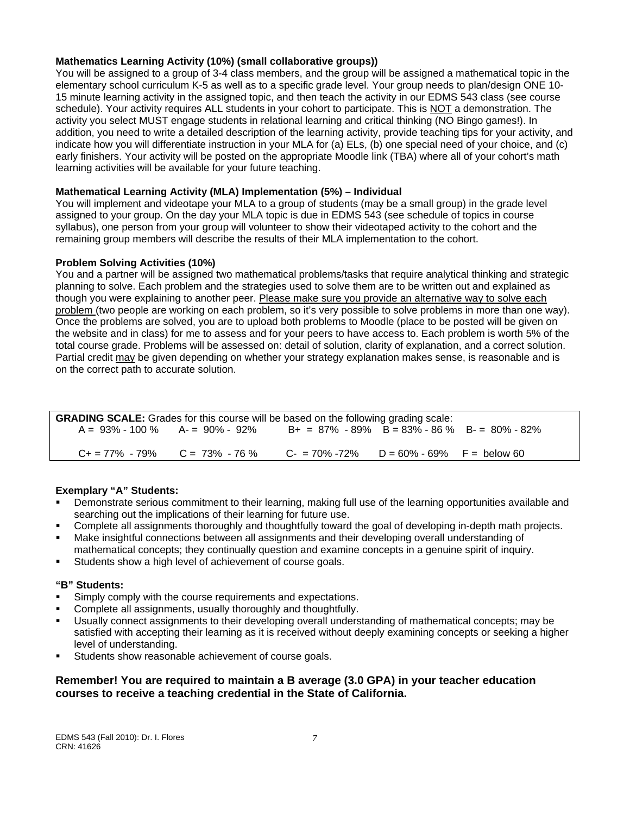### **Mathematics Learning Activity (10%) (small collaborative groups))**

You will be assigned to a group of 3-4 class members, and the group will be assigned a mathematical topic in the elementary school curriculum K-5 as well as to a specific grade level. Your group needs to plan/design ONE 10- 15 minute learning activity in the assigned topic, and then teach the activity in our EDMS 543 class (see course schedule). Your activity requires ALL students in your cohort to participate. This is NOT a demonstration. The activity you select MUST engage students in relational learning and critical thinking (NO Bingo games!). In addition, you need to write a detailed description of the learning activity, provide teaching tips for your activity, and indicate how you will differentiate instruction in your MLA for (a) ELs, (b) one special need of your choice, and (c) early finishers. Your activity will be posted on the appropriate Moodle link (TBA) where all of your cohort's math learning activities will be available for your future teaching.

## **Mathematical Learning Activity (MLA) Implementation (5%) – Individual**

You will implement and videotape your MLA to a group of students (may be a small group) in the grade level assigned to your group. On the day your MLA topic is due in EDMS 543 (see schedule of topics in course syllabus), one person from your group will volunteer to show their videotaped activity to the cohort and the remaining group members will describe the results of their MLA implementation to the cohort.

### **Problem Solving Activities (10%)**

You and a partner will be assigned two mathematical problems/tasks that require analytical thinking and strategic planning to solve. Each problem and the strategies used to solve them are to be written out and explained as though you were explaining to another peer. Please make sure you provide an alternative way to solve each problem (two people are working on each problem, so it's very possible to solve problems in more than one way). Once the problems are solved, you are to upload both problems to Moodle (place to be posted will be given on the website and in class) for me to assess and for your peers to have access to. Each problem is worth 5% of the total course grade. Problems will be assessed on: detail of solution, clarity of explanation, and a correct solution. Partial credit may be given depending on whether your strategy explanation makes sense, is reasonable and is on the correct path to accurate solution.

| <b>GRADING SCALE:</b> Grades for this course will be based on the following grading scale: |  |                                                  |  |  |
|--------------------------------------------------------------------------------------------|--|--------------------------------------------------|--|--|
| $A = 93\% - 100\%$ $A = 90\% - 92\%$                                                       |  | $B+ = 87\% - 89\%$ B = 83% - 86 % B = 80% - 82%  |  |  |
| $C_+ = 77\% - 79\%$ $C = 73\% - 76\%$                                                      |  | $C = 70\% - 72\%$ $D = 60\% - 69\%$ F = below 60 |  |  |

#### **Exemplary "A" Students:**

- Demonstrate serious commitment to their learning, making full use of the learning opportunities available and searching out the implications of their learning for future use.
- Complete all assignments thoroughly and thoughtfully toward the goal of developing in-depth math projects.
- Make insightful connections between all assignments and their developing overall understanding of mathematical concepts; they continually question and examine concepts in a genuine spirit of inquiry.
- Students show a high level of achievement of course goals.

#### **"B" Students:**

- Simply comply with the course requirements and expectations.
- Complete all assignments, usually thoroughly and thoughtfully.
- Usually connect assignments to their developing overall understanding of mathematical concepts; may be satisfied with accepting their learning as it is received without deeply examining concepts or seeking a higher level of understanding.
- Students show reasonable achievement of course goals.

## **Remember! You are required to maintain a B average (3.0 GPA) in your teacher education courses to receive a teaching credential in the State of California.**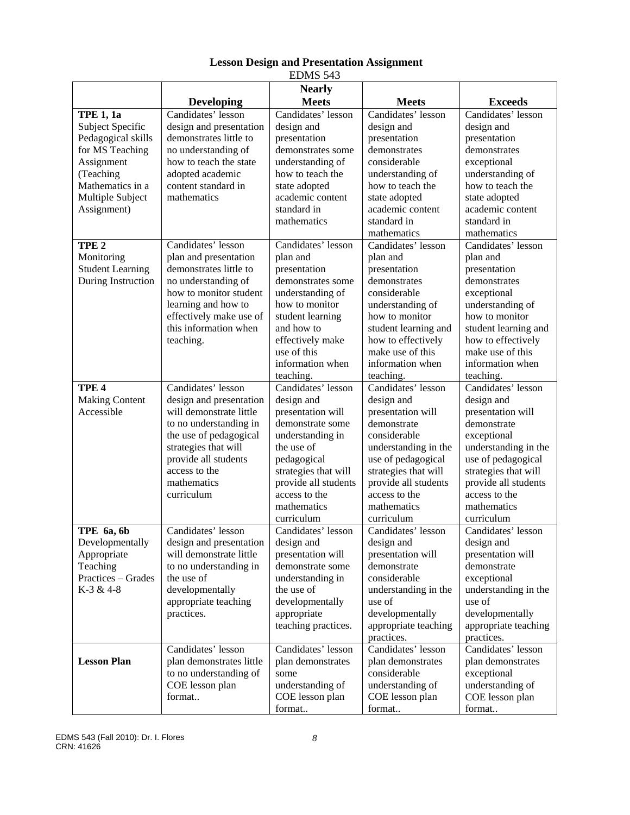|                                                                                                                                                                 |                                                                                                                                                                                                                            | LDIVID J4J                                                                                                                                                                                                               |                                                                                                                                                                                                                                  |                                                                                                                                                                                                                                 |
|-----------------------------------------------------------------------------------------------------------------------------------------------------------------|----------------------------------------------------------------------------------------------------------------------------------------------------------------------------------------------------------------------------|--------------------------------------------------------------------------------------------------------------------------------------------------------------------------------------------------------------------------|----------------------------------------------------------------------------------------------------------------------------------------------------------------------------------------------------------------------------------|---------------------------------------------------------------------------------------------------------------------------------------------------------------------------------------------------------------------------------|
|                                                                                                                                                                 | <b>Developing</b>                                                                                                                                                                                                          | <b>Nearly</b><br><b>Meets</b>                                                                                                                                                                                            | <b>Meets</b>                                                                                                                                                                                                                     | <b>Exceeds</b>                                                                                                                                                                                                                  |
| <b>TPE 1, 1a</b><br>Subject Specific<br>Pedagogical skills<br>for MS Teaching<br>Assignment<br>(Teaching<br>Mathematics in a<br>Multiple Subject<br>Assignment) | Candidates' lesson<br>design and presentation<br>demonstrates little to<br>no understanding of<br>how to teach the state<br>adopted academic<br>content standard in<br>mathematics                                         | Candidates' lesson<br>design and<br>presentation<br>demonstrates some<br>understanding of<br>how to teach the<br>state adopted<br>academic content<br>standard in<br>mathematics                                         | Candidates' lesson<br>design and<br>presentation<br>demonstrates<br>considerable<br>understanding of<br>how to teach the<br>state adopted<br>academic content<br>standard in<br>mathematics                                      | Candidates' lesson<br>design and<br>presentation<br>demonstrates<br>exceptional<br>understanding of<br>how to teach the<br>state adopted<br>academic content<br>standard in<br>mathematics                                      |
| TPE <sub>2</sub><br>Monitoring<br><b>Student Learning</b><br>During Instruction                                                                                 | Candidates' lesson<br>plan and presentation<br>demonstrates little to<br>no understanding of<br>how to monitor student<br>learning and how to<br>effectively make use of<br>this information when<br>teaching.             | Candidates' lesson<br>plan and<br>presentation<br>demonstrates some<br>understanding of<br>how to monitor<br>student learning<br>and how to<br>effectively make<br>use of this<br>information when<br>teaching.          | Candidates' lesson<br>plan and<br>presentation<br>demonstrates<br>considerable<br>understanding of<br>how to monitor<br>student learning and<br>how to effectively<br>make use of this<br>information when<br>teaching.          | Candidates' lesson<br>plan and<br>presentation<br>demonstrates<br>exceptional<br>understanding of<br>how to monitor<br>student learning and<br>how to effectively<br>make use of this<br>information when<br>teaching.          |
| TPE <sub>4</sub><br><b>Making Content</b><br>Accessible                                                                                                         | Candidates' lesson<br>design and presentation<br>will demonstrate little<br>to no understanding in<br>the use of pedagogical<br>strategies that will<br>provide all students<br>access to the<br>mathematics<br>curriculum | Candidates' lesson<br>design and<br>presentation will<br>demonstrate some<br>understanding in<br>the use of<br>pedagogical<br>strategies that will<br>provide all students<br>access to the<br>mathematics<br>curriculum | Candidates' lesson<br>design and<br>presentation will<br>demonstrate<br>considerable<br>understanding in the<br>use of pedagogical<br>strategies that will<br>provide all students<br>access to the<br>mathematics<br>curriculum | Candidates' lesson<br>design and<br>presentation will<br>demonstrate<br>exceptional<br>understanding in the<br>use of pedagogical<br>strategies that will<br>provide all students<br>access to the<br>mathematics<br>curriculum |
| TPE 6a, 6b<br>Developmentally<br>Appropriate<br>Teaching<br>Practices - Grades<br>K-3 & 4-8                                                                     | Candidates' lesson<br>design and presentation<br>will demonstrate little<br>to no understanding in<br>the use of<br>developmentally<br>appropriate teaching<br>practices.                                                  | Candidates' lesson<br>design and<br>presentation will<br>demonstrate some<br>understanding in<br>the use of<br>developmentally<br>appropriate<br>teaching practices.                                                     | Candidates' lesson<br>design and<br>presentation will<br>demonstrate<br>considerable<br>understanding in the<br>use of<br>developmentally<br>appropriate teaching<br>practices.                                                  | Candidates' lesson<br>design and<br>presentation will<br>demonstrate<br>exceptional<br>understanding in the<br>use of<br>developmentally<br>appropriate teaching<br>practices.                                                  |
| <b>Lesson Plan</b>                                                                                                                                              | Candidates' lesson<br>plan demonstrates little<br>to no understanding of<br>COE lesson plan<br>format                                                                                                                      | Candidates' lesson<br>plan demonstrates<br>some<br>understanding of<br>COE lesson plan<br>format                                                                                                                         | Candidates' lesson<br>plan demonstrates<br>considerable<br>understanding of<br>COE lesson plan<br>format                                                                                                                         | Candidates' lesson<br>plan demonstrates<br>exceptional<br>understanding of<br>COE lesson plan<br>format                                                                                                                         |

## **Lesson Design and Presentation Assignment**  EDMS 543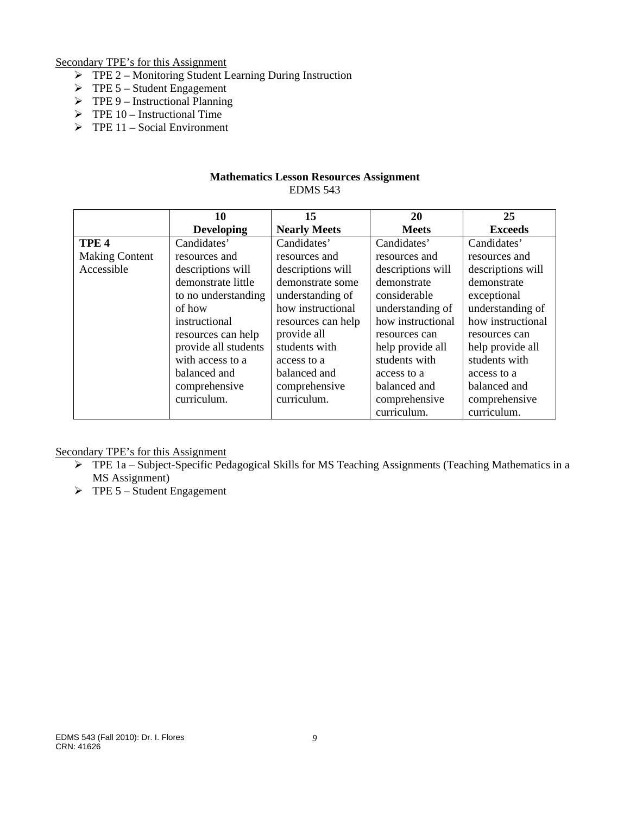Secondary TPE's for this Assignment

- $\triangleright$  TPE 2 Monitoring Student Learning During Instruction
- $\triangleright$  TPE 5 Student Engagement
- $\triangleright$  TPE 9 Instructional Planning
- $\triangleright$  TPE 10 Instructional Time
- $\triangleright$  TPE 11 Social Environment

### **Mathematics Lesson Resources Assignment**  EDMS 543

|                       | 10                   | 15                  | 20                | 25                |
|-----------------------|----------------------|---------------------|-------------------|-------------------|
|                       | <b>Developing</b>    | <b>Nearly Meets</b> | <b>Meets</b>      | <b>Exceeds</b>    |
| TPE <sub>4</sub>      | Candidates'          | Candidates'         | Candidates'       | Candidates'       |
| <b>Making Content</b> | resources and        | resources and       | resources and     | resources and     |
| Accessible            | descriptions will    | descriptions will   | descriptions will | descriptions will |
|                       | demonstrate little   | demonstrate some    | demonstrate       | demonstrate       |
|                       | to no understanding  | understanding of    | considerable      | exceptional       |
|                       | of how               | how instructional   | understanding of  | understanding of  |
|                       | instructional        | resources can help  | how instructional | how instructional |
|                       | resources can help   | provide all         | resources can     | resources can     |
|                       | provide all students | students with       | help provide all  | help provide all  |
|                       | with access to a     | access to a         | students with     | students with     |
|                       | balanced and         | balanced and        | access to a       | access to a       |
|                       | comprehensive        | comprehensive       | balanced and      | balanced and      |
|                       | curriculum.          | curriculum.         | comprehensive     | comprehensive     |
|                       |                      |                     | curriculum.       | curriculum.       |

Secondary TPE's for this Assignment

- $\triangleright$  TPE 1a Subject-Specific Pedagogical Skills for MS Teaching Assignments (Teaching Mathematics in a MS Assignment)
- $\triangleright$  TPE 5 Student Engagement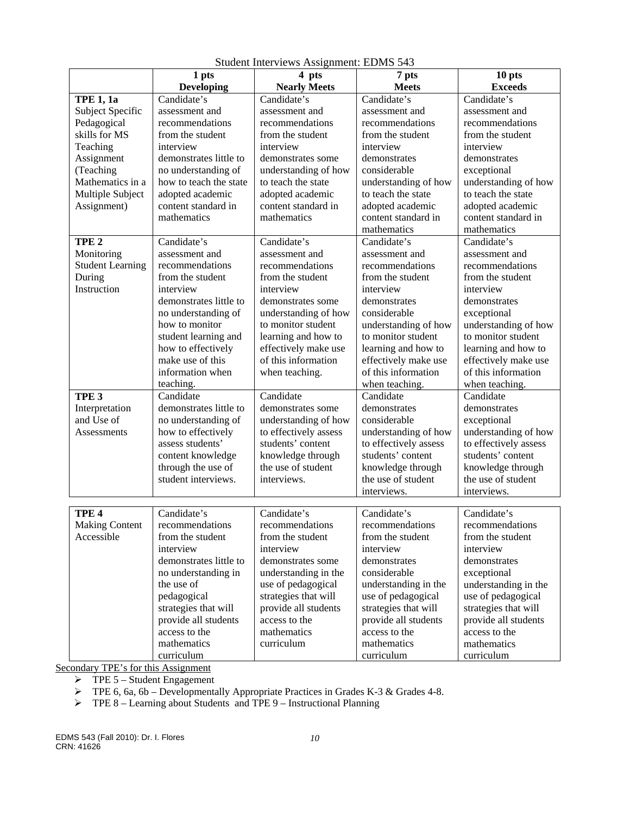|                                     | 1 pts                               | 4 pts                 | 7 pts                     | 10 pts                |
|-------------------------------------|-------------------------------------|-----------------------|---------------------------|-----------------------|
|                                     | <b>Developing</b>                   | <b>Nearly Meets</b>   | <b>Meets</b>              | <b>Exceeds</b>        |
| <b>TPE 1, 1a</b>                    | Candidate's                         | Candidate's           | Candidate's               | Candidate's           |
| Subject Specific                    | assessment and                      | assessment and        | assessment and            | assessment and        |
| Pedagogical                         | recommendations                     | recommendations       | recommendations           | recommendations       |
| skills for MS                       | from the student                    | from the student      | from the student          | from the student      |
| Teaching                            | interview                           | interview             | interview                 | interview             |
| Assignment                          | demonstrates little to              | demonstrates some     | demonstrates              | demonstrates          |
| (Teaching                           | no understanding of                 | understanding of how  | considerable              | exceptional           |
| Mathematics in a                    | how to teach the state              | to teach the state    | understanding of how      | understanding of how  |
| Multiple Subject                    | adopted academic                    | adopted academic      | to teach the state        | to teach the state    |
| Assignment)                         | content standard in                 | content standard in   | adopted academic          | adopted academic      |
|                                     | mathematics                         | mathematics           | content standard in       | content standard in   |
|                                     |                                     |                       | mathematics               | mathematics           |
| TPE <sub>2</sub>                    | Candidate's                         | Candidate's           | Candidate's               | Candidate's           |
| Monitoring                          | assessment and                      | assessment and        | assessment and            | assessment and        |
| <b>Student Learning</b>             | recommendations                     | recommendations       | recommendations           | recommendations       |
| During                              | from the student                    | from the student      | from the student          | from the student      |
| Instruction                         | interview                           | interview             | interview                 | interview             |
|                                     | demonstrates little to              | demonstrates some     | demonstrates              | demonstrates          |
|                                     | no understanding of                 | understanding of how  | considerable              | exceptional           |
|                                     | how to monitor                      | to monitor student    | understanding of how      | understanding of how  |
|                                     | student learning and                | learning and how to   | to monitor student        | to monitor student    |
|                                     | how to effectively                  | effectively make use  | learning and how to       | learning and how to   |
|                                     | make use of this                    | of this information   | effectively make use      | effectively make use  |
|                                     | information when                    | when teaching.        | of this information       | of this information   |
|                                     | teaching.                           |                       | when teaching.            | when teaching.        |
| TPE <sub>3</sub>                    | Candidate                           | Candidate             | Candidate                 | Candidate             |
| Interpretation                      | demonstrates little to              | demonstrates some     | demonstrates              | demonstrates          |
| and Use of                          | no understanding of                 | understanding of how  | considerable              | exceptional           |
| Assessments                         | how to effectively                  | to effectively assess | understanding of how      | understanding of how  |
|                                     | assess students'                    | students' content     | to effectively assess     | to effectively assess |
|                                     | content knowledge                   | knowledge through     | students' content         | students' content     |
|                                     | through the use of                  | the use of student    | knowledge through         | knowledge through     |
|                                     | student interviews.                 | interviews.           | the use of student        | the use of student    |
|                                     |                                     |                       | interviews.               | interviews.           |
|                                     | Candidate's                         | Candidate's           |                           | Candidate's           |
| TPE <sub>4</sub>                    |                                     |                       | Candidate's               |                       |
| <b>Making Content</b><br>Accessible | recommendations<br>from the student | recommendations       | recommendations           | recommendations       |
|                                     |                                     | from the student      | from the student          | from the student      |
|                                     | interview<br>demonstrates little to | interview             | interview<br>demonstrates | interview             |
|                                     |                                     | demonstrates some     |                           | demonstrates          |
|                                     | no understanding in                 | understanding in the  | considerable              | exceptional           |
|                                     | the use of                          | use of pedagogical    | understanding in the      | understanding in the  |
|                                     | pedagogical                         | strategies that will  | use of pedagogical        | use of pedagogical    |
|                                     | strategies that will                | provide all students  | strategies that will      | strategies that will  |
|                                     | provide all students                | access to the         | provide all students      | provide all students  |
|                                     | access to the                       | mathematics           | access to the             | access to the         |
|                                     | mathematics                         | curriculum            | mathematics               | mathematics           |
|                                     | curriculum                          |                       | curriculum                | curriculum            |

Student Interviews Assignment: EDMS 543

Secondary TPE's for this Assignment

 $\triangleright$  TPE 5 – Student Engagement

 $\triangleright$  TPE 6, 6a, 6b – Developmentally Appropriate Practices in Grades K-3 & Grades 4-8.

 $\triangleright$  TPE 8 – Learning about Students and TPE 9 – Instructional Planning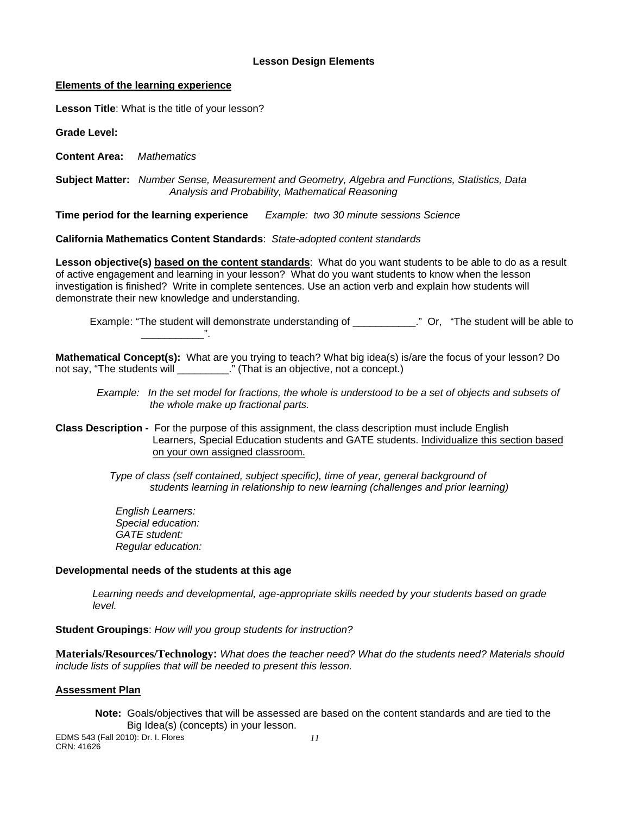#### **Lesson Design Elements**

#### **Elements of the learning experience**

**Lesson Title**: What is the title of your lesson?

**Grade Level:** 

**Content Area:** *Mathematics* 

 **Subject Matter:** *Number Sense, Measurement and Geometry, Algebra and Functions, Statistics, Data Analysis and Probability, Mathematical Reasoning* 

**Time period for the learning experience** *Example: two 30 minute sessions Science* 

**California Mathematics Content Standards**: *State-adopted content standards* 

**Lesson objective(s) based on the content standards**: What do you want students to be able to do as a result of active engagement and learning in your lesson? What do you want students to know when the lesson investigation is finished? Write in complete sentences. Use an action verb and explain how students will demonstrate their new knowledge and understanding.

Example: "The student will demonstrate understanding of \_\_\_\_\_\_\_\_\_\_\_." Or, "The student will be able to

**Mathematical Concept(s):** What are you trying to teach? What big idea(s) is/are the focus of your lesson? Do not say, "The students will **The students** will **result in the student** of  $\mathbf{r}$ ." (That is an objective, not a concept.)

*Example: In the set model for fractions, the whole is understood to be a set of objects and subsets of the whole make up fractional parts.* 

**Class Description -** For the purpose of this assignment, the class description must include English Learners, Special Education students and GATE students. Individualize this section based on your own assigned classroom.

> *Type of class (self contained, subject specific), time of year, general background of students learning in relationship to new learning (challenges and prior learning)*

*English Learners: Special education: GATE student: Regular education:* 

#### **Developmental needs of the students at this age**

\_\_\_\_\_\_\_\_\_\_\_".

*Learning needs and developmental, age-appropriate skills needed by your students based on grade level.* 

**Student Groupings**: *How will you group students for instruction?* 

**Materials/Resources/Technology:** *What does the teacher need? What do the students need? Materials should include lists of supplies that will be needed to present this lesson.* 

## **Assessment Plan**

**Note:** Goals/objectives that will be assessed are based on the content standards and are tied to the Big Idea(s) (concepts) in your lesson.

EDMS 543 (Fall 2010): Dr. I. Flores *11*  CRN: 41626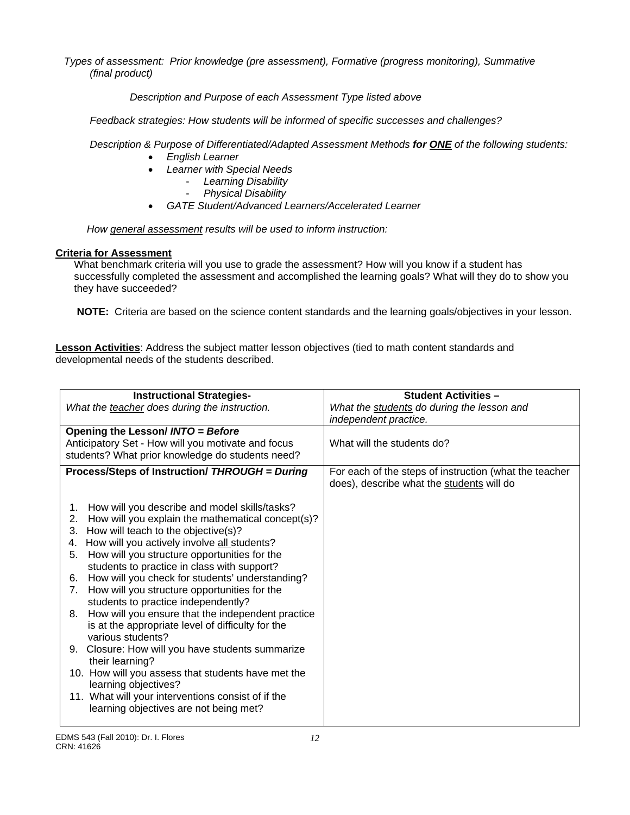*Types of assessment: Prior knowledge (pre assessment), Formative (progress monitoring), Summative (final product)*

 *Description and Purpose of each Assessment Type listed above* 

 *Feedback strategies: How students will be informed of specific successes and challenges?*

 *Description & Purpose of Differentiated/Adapted Assessment Methods for ONE of the following students:* 

- *English Learner*
- *Learner with Special Needs* 
	- *Learning Disability* 
		- *Physical Disability*
- *GATE Student/Advanced Learners/Accelerated Learner*

*How general assessment results will be used to inform instruction:* 

## **Criteria for Assessment**

What benchmark criteria will you use to grade the assessment? How will you know if a student has successfully completed the assessment and accomplished the learning goals? What will they do to show you they have succeeded?

**NOTE:** Criteria are based on the science content standards and the learning goals/objectives in your lesson.

**Lesson Activities**: Address the subject matter lesson objectives (tied to math content standards and developmental needs of the students described.

| <b>Instructional Strategies-</b>                                                                               | <b>Student Activities -</b>                                                                         |
|----------------------------------------------------------------------------------------------------------------|-----------------------------------------------------------------------------------------------------|
| What the teacher does during the instruction.                                                                  | What the students do during the lesson and<br>independent practice.                                 |
| Opening the Lesson/ INTO = Before                                                                              |                                                                                                     |
| Anticipatory Set - How will you motivate and focus                                                             | What will the students do?                                                                          |
| students? What prior knowledge do students need?                                                               |                                                                                                     |
| Process/Steps of Instruction/ THROUGH = During                                                                 | For each of the steps of instruction (what the teacher<br>does), describe what the students will do |
| How will you describe and model skills/tasks?<br>1.<br>How will you explain the mathematical concept(s)?<br>2. |                                                                                                     |
| How will teach to the objective(s)?<br>3.                                                                      |                                                                                                     |
| How will you actively involve all students?<br>4.<br>How will you structure opportunities for the<br>5.        |                                                                                                     |
| students to practice in class with support?                                                                    |                                                                                                     |
| How will you check for students' understanding?<br>6.                                                          |                                                                                                     |
| How will you structure opportunities for the<br>7.                                                             |                                                                                                     |
| students to practice independently?                                                                            |                                                                                                     |
| How will you ensure that the independent practice<br>8.                                                        |                                                                                                     |
| is at the appropriate level of difficulty for the                                                              |                                                                                                     |
| various students?                                                                                              |                                                                                                     |
| Closure: How will you have students summarize<br>9.                                                            |                                                                                                     |
| their learning?                                                                                                |                                                                                                     |
| 10. How will you assess that students have met the<br>learning objectives?                                     |                                                                                                     |
| 11. What will your interventions consist of if the                                                             |                                                                                                     |
| learning objectives are not being met?                                                                         |                                                                                                     |
|                                                                                                                |                                                                                                     |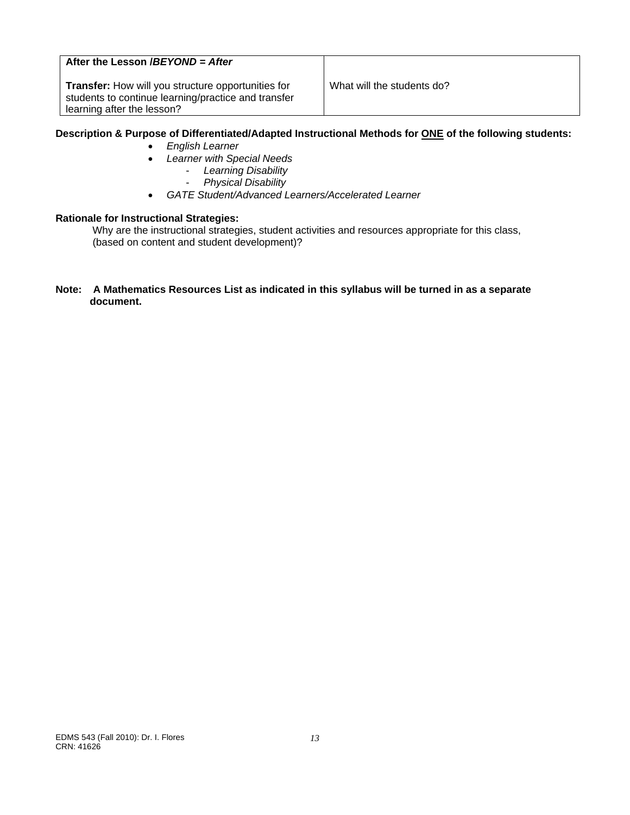# **After the Lesson /***BEYOND = After*

**Transfer:** How will you structure opportunities for What will the students do? students to continue learning/practice and transfer learning after the lesson?

## **Description & Purpose of Differentiated/Adapted Instructional Methods for ONE of the following students:**

- *English Learner*
- *Learner with Special Needs*
	- *Learning Disability*
	- *Physical Disability*
- *GATE Student/Advanced Learners/Accelerated Learner*

#### **Rationale for Instructional Strategies:**

Why are the instructional strategies, student activities and resources appropriate for this class, (based on content and student development)?

#### **Note: A Mathematics Resources List as indicated in this syllabus will be turned in as a separate document.**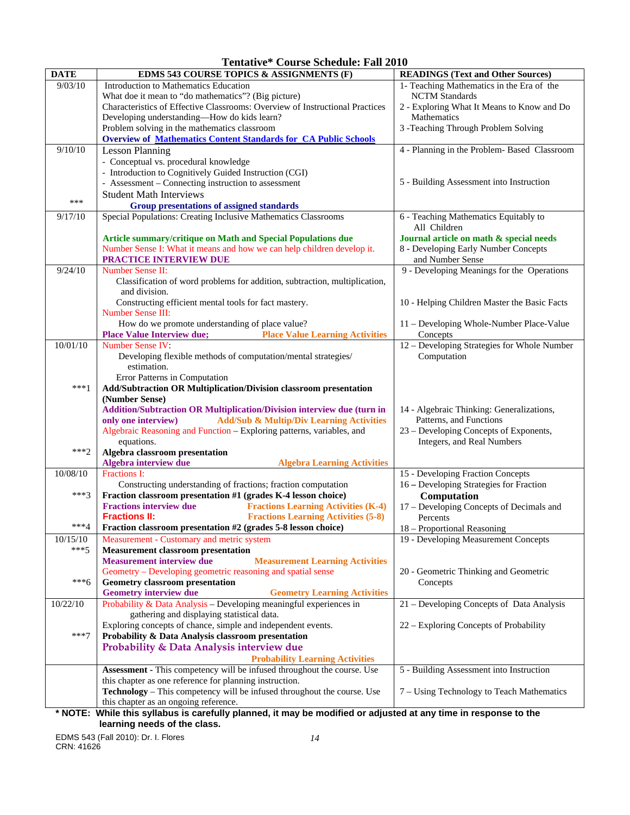**Tentative\* Course Schedule: Fall 2010** 

| <b>DATE</b> | EDMS 543 COURSE TOPICS & ASSIGNMENTS (F)                                                                                                                 | <b>READINGS (Text and Other Sources)</b>                                        |
|-------------|----------------------------------------------------------------------------------------------------------------------------------------------------------|---------------------------------------------------------------------------------|
| 9/03/10     | Introduction to Mathematics Education                                                                                                                    | 1- Teaching Mathematics in the Era of the                                       |
|             | What doe it mean to "do mathematics"? (Big picture)                                                                                                      | <b>NCTM</b> Standards                                                           |
|             | Characteristics of Effective Classrooms: Overview of Instructional Practices                                                                             | 2 - Exploring What It Means to Know and Do                                      |
|             | Developing understanding-How do kids learn?                                                                                                              | Mathematics                                                                     |
|             | Problem solving in the mathematics classroom                                                                                                             | 3 -Teaching Through Problem Solving                                             |
|             | <b>Overview of Mathematics Content Standards for CA Public Schools</b>                                                                                   |                                                                                 |
| 9/10/10     | <b>Lesson Planning</b>                                                                                                                                   | 4 - Planning in the Problem- Based Classroom                                    |
|             | - Conceptual vs. procedural knowledge                                                                                                                    |                                                                                 |
|             | - Introduction to Cognitively Guided Instruction (CGI)                                                                                                   |                                                                                 |
|             | - Assessment – Connecting instruction to assessment                                                                                                      | 5 - Building Assessment into Instruction                                        |
| ***         | <b>Student Math Interviews</b>                                                                                                                           |                                                                                 |
|             | <b>Group presentations of assigned standards</b>                                                                                                         |                                                                                 |
| 9/17/10     | Special Populations: Creating Inclusive Mathematics Classrooms                                                                                           | 6 - Teaching Mathematics Equitably to<br>All Children                           |
|             |                                                                                                                                                          |                                                                                 |
|             | Article summary/critique on Math and Special Populations due<br>Number Sense I: What it means and how we can help children develop it.                   | Journal article on math & special needs<br>8 - Developing Early Number Concepts |
|             | PRACTICE INTERVIEW DUE                                                                                                                                   | and Number Sense                                                                |
| 9/24/10     | Number Sense II:                                                                                                                                         | 9 - Developing Meanings for the Operations                                      |
|             | Classification of word problems for addition, subtraction, multiplication,                                                                               |                                                                                 |
|             | and division.                                                                                                                                            |                                                                                 |
|             | Constructing efficient mental tools for fact mastery.                                                                                                    | 10 - Helping Children Master the Basic Facts                                    |
|             | <b>Number Sense III:</b>                                                                                                                                 |                                                                                 |
|             | How do we promote understanding of place value?                                                                                                          | 11 - Developing Whole-Number Place-Value                                        |
|             | <b>Place Value Interview due;</b><br><b>Place Value Learning Activities</b>                                                                              | Concepts                                                                        |
| 10/01/10    | Number Sense IV:                                                                                                                                         | 12 – Developing Strategies for Whole Number                                     |
|             | Developing flexible methods of computation/mental strategies/                                                                                            | Computation                                                                     |
|             | estimation.                                                                                                                                              |                                                                                 |
|             | Error Patterns in Computation                                                                                                                            |                                                                                 |
| ***1        | Add/Subtraction OR Multiplication/Division classroom presentation                                                                                        |                                                                                 |
|             | (Number Sense)                                                                                                                                           |                                                                                 |
|             | <b>Addition/Subtraction OR Multiplication/Division interview due (turn in</b>                                                                            | 14 - Algebraic Thinking: Generalizations,                                       |
|             | <b>Add/Sub &amp; Multip/Div Learning Activities</b><br>only one interview)                                                                               | Patterns, and Functions                                                         |
|             | Algebraic Reasoning and Function - Exploring patterns, variables, and                                                                                    | 23 – Developing Concepts of Exponents,                                          |
| $***2$      | equations.                                                                                                                                               | Integers, and Real Numbers                                                      |
|             | Algebra classroom presentation<br>Algebra interview due<br><b>Algebra Learning Activities</b>                                                            |                                                                                 |
| 10/08/10    | Fractions I:                                                                                                                                             | 15 - Developing Fraction Concepts                                               |
|             | Constructing understanding of fractions; fraction computation                                                                                            | 16 - Developing Strategies for Fraction                                         |
| $***3$      | Fraction classroom presentation #1 (grades K-4 lesson choice)                                                                                            | Computation                                                                     |
|             | <b>Fractions interview due</b><br><b>Fractions Learning Activities (K-4)</b>                                                                             | 17 - Developing Concepts of Decimals and                                        |
|             | <b>Fractions II:</b><br><b>Fractions Learning Activities (5-8)</b>                                                                                       | Percents                                                                        |
| $***4$      | Fraction classroom presentation #2 (grades 5-8 lesson choice)                                                                                            | 18 - Proportional Reasoning                                                     |
| 10/15/10    | Measurement - Customary and metric system                                                                                                                | 19 - Developing Measurement Concepts                                            |
| $***5$      | <b>Measurement classroom presentation</b>                                                                                                                |                                                                                 |
|             | <b>Measurement interview due</b><br><b>Measurement Learning Activities</b>                                                                               |                                                                                 |
|             | Geometry - Developing geometric reasoning and spatial sense                                                                                              | 20 - Geometric Thinking and Geometric                                           |
| ***6        | <b>Geometry classroom presentation</b>                                                                                                                   | Concepts                                                                        |
|             | <b>Geometry interview due</b><br><b>Geometry Learning Activities</b>                                                                                     |                                                                                 |
| 10/22/10    | Probability & Data Analysis – Developing meaningful experiences in                                                                                       | 21 - Developing Concepts of Data Analysis                                       |
|             | gathering and displaying statistical data.                                                                                                               |                                                                                 |
|             | Exploring concepts of chance, simple and independent events.                                                                                             | 22 – Exploring Concepts of Probability                                          |
| $***7$      | Probability & Data Analysis classroom presentation                                                                                                       |                                                                                 |
|             | Probability & Data Analysis interview due                                                                                                                |                                                                                 |
|             | <b>Probability Learning Activities</b>                                                                                                                   |                                                                                 |
|             | Assessment - This competency will be infused throughout the course. Use                                                                                  | 5 - Building Assessment into Instruction                                        |
|             | this chapter as one reference for planning instruction.                                                                                                  |                                                                                 |
|             | Technology - This competency will be infused throughout the course. Use                                                                                  | 7 – Using Technology to Teach Mathematics                                       |
|             | this chapter as an ongoing reference.<br>* NOTE: While this syllabus is carefully planned, it may be modified or adjusted at any time in response to the |                                                                                 |

**\* NOTE: While this syllabus is carefully planned, it may be modified or adjusted at any time in response to the learning needs of the class.** 

EDMS 543 (Fall 2010): Dr. I. Flores *14*  CRN: 41626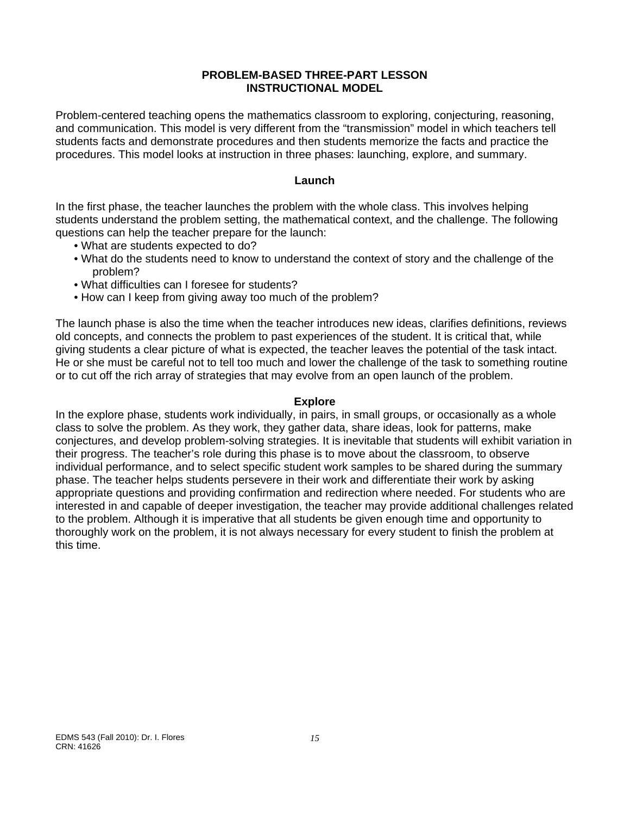## **PROBLEM-BASED THREE-PART LESSON INSTRUCTIONAL MODEL**

Problem-centered teaching opens the mathematics classroom to exploring, conjecturing, reasoning, and communication. This model is very different from the "transmission" model in which teachers tell students facts and demonstrate procedures and then students memorize the facts and practice the procedures. This model looks at instruction in three phases: launching, explore, and summary.

## **Launch**

In the first phase, the teacher launches the problem with the whole class. This involves helping students understand the problem setting, the mathematical context, and the challenge. The following questions can help the teacher prepare for the launch:

- . What are students expected to do?
- What do the students need to know to understand the context of story and the challenge of the problem?
- What difficulties can I foresee for students?
- How can I keep from giving away too much of the problem?

The launch phase is also the time when the teacher introduces new ideas, clarifies definitions, reviews old concepts, and connects the problem to past experiences of the student. It is critical that, while giving students a clear picture of what is expected, the teacher leaves the potential of the task intact. He or she must be careful not to tell too much and lower the challenge of the task to something routine or to cut off the rich array of strategies that may evolve from an open launch of the problem.

## **Explore**

In the explore phase, students work individually, in pairs, in small groups, or occasionally as a whole class to solve the problem. As they work, they gather data, share ideas, look for patterns, make conjectures, and develop problem-solving strategies. It is inevitable that students will exhibit variation in their progress. The teacher's role during this phase is to move about the classroom, to observe individual performance, and to select specific student work samples to be shared during the summary phase. The teacher helps students persevere in their work and differentiate their work by asking appropriate questions and providing confirmation and redirection where needed. For students who are interested in and capable of deeper investigation, the teacher may provide additional challenges related to the problem. Although it is imperative that all students be given enough time and opportunity to thoroughly work on the problem, it is not always necessary for every student to finish the problem at this time.